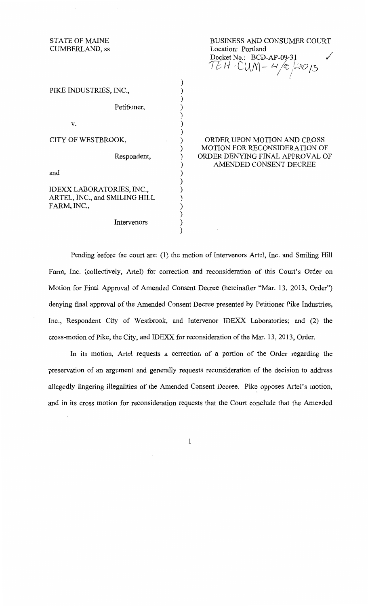STATE OF MAINE CUMBERLAND, ss

BUSINESS AND CONSUMER COURT Location: Portland Docket No.: BCD-AP-09-31 U *H* -C(JfYl- *'-r tt ,/:zo* /5 I /

| PIKE INDUSTRIES, INC.,                       |                                                                     |
|----------------------------------------------|---------------------------------------------------------------------|
| Petitioner,                                  |                                                                     |
| v.                                           |                                                                     |
| CITY OF WESTBROOK,                           | ORDER UPON MOTION AND CROSS<br><b>MOTION FOR RECONSIDERATION OF</b> |
| Respondent,                                  | ORDER DENYING FINAL APPROVAL OF                                     |
| and                                          | AMENDED CONSENT DECREE                                              |
| IDEXX LABORATORIES, INC.,                    |                                                                     |
| ARTEL, INC., and SMILING HILL<br>FARM, INC., |                                                                     |
|                                              |                                                                     |
| Intervenors                                  |                                                                     |
|                                              |                                                                     |

Pending before the court are: (1) the motion of Intervenors Artel, Inc. and Smiling Hill Farm, Inc. (collectively, Artel) for correction and reconsideration of this Court's Order on Motion for Final Approval of Amended Consent Decree (hereinafter "Mar. 13, 2013, Order") denying final approval of the Amended Consent Decree presented by Petitioner Pike Industries, Inc., Respondent City of Westbrook, and Intervenor IDEXX Laboratories; and (2) the cross-motion of Pike, the City, and IDEXX for reconsideration of the Mar. 13, 2013, Order.

In its motion, Artel requests a correction of a portion of the Order regarding the preservation of an argument and generally requests reconsideration of the decision to address allegedly lingering illegalities of the Amended Consent Decree. Pike opposes Artel's motion, and in its cross motion for reconsideration requests that the Court conclude that the Amended

1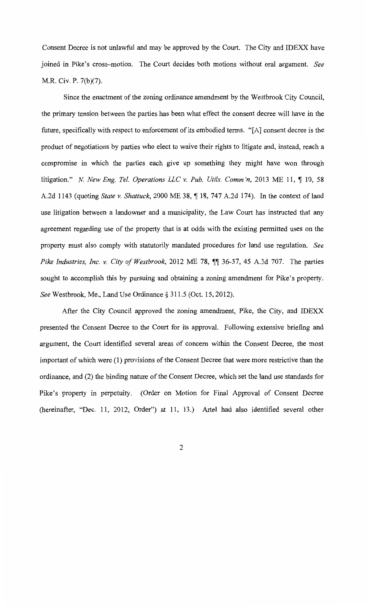Consent Decree is not unlawful and may be approved by the Court. The City and IDEXX have joined in Pike's cross-motion. The Court decides both motions without oral argument. *See*  M.R. Civ. P. 7(b)(7).

Since the enactment of the zoning ordinance amendment by the Westbrook City Council, the primary tension between the parties has been what effect the consent decree will have in the future, specifically with respect to enforcement of its embodied terms. "[A] consent decree is the product of negotiations by parties who elect to waive their rights to litigate and, instead, reach a compromise in which the parties each give up something they might have won through litigation." *N. New Eng. Tel. Operations LLC v. Pub. Utils. Comm'n,* 2013 ME 11,  $\P$  10, 58 A.2d 1143 (quoting *State v. Shattuck*, 2000 ME 38, ¶ 18, 747 A.2d 174). In the context of land use litigation between a landowner and a municipality, the Law Court has instructed that any agreement regarding use of the property that is at odds with the existing permitted uses on the property must also comply with statutorily mandated procedures for land use regulation. *See Pike Industries, Inc. v. City of Westbrook*, 2012 ME 78,  $\P$  36-37, 45 A.3d 707. The parties sought to accomplish this by pursuing and obtaining a zoning amendment for Pike's property. *See* Westbrook, Me., Land Use Ordinance§ 311.5 (Oct. 15, 2012).

After the City Council approved the zoning amendment, Pike, the City, and IDEXX presented the Consent Decree to the Court for its approval. Following extensive briefmg and argument, the Court identified several areas of concern within the Consent Decree, the most important of which were (1) provisions of the Consent Decree that were more restrictive than the ordinance, and (2) the binding nature of the Consent Decree, which set the land use standards for Pike's property in perpetuity. (Order on Motion for Final Approval of Consent Decree (hereinafter, "Dec. 11, 2012, Order") at 11, 13.) Artel had also identified several other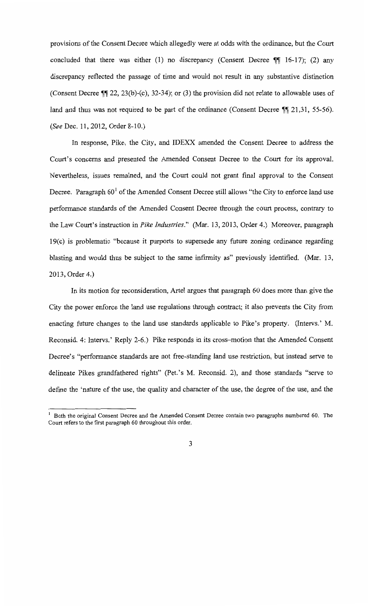provisions of the Consent Decree which allegedly were at odds with the ordinance, but the Court concluded that there was either (1) no discrepancy (Consent Decree  $\P\P$  16-17); (2) any discrepancy reflected the passage of time and would not result in any substantive distinction (Consent Decree  $\P$ , 22, 23(b)-(c), 32-34); or (3) the provision did not relate to allowable uses of land and thus was not required to be part of the ordinance (Consent Decree  $\mathbb{I}$  21,31, 55-56). *(See* Dec. 11, 2012, Order 8-10.)

In response, Pike, the City, and IDEXX amended the Consent Decree to address the Court's concerns and presented the Amended Consent Decree to the Court for its approval. Nevertheless, issues remained, and the Court could not grant final approval to the Consent Decree. Paragraph  $60<sup>1</sup>$  of the Amended Consent Decree still allows "the City to enforce land use performance standards of the Amended Consent Decree through the court process, contrary to the Law Court's instruction in *Pike Industries."* (Mar. 13, 2013, Order 4.) Moreover, paragraph  $19(c)$  is problematic "because it purports to supersede any future zoning ordinance regarding blasting and would thus be subject to the same infirmity as" previously identified. (Mar. 13, 2013, Order 4.)

In its motion for reconsideration, Artel argues that paragraph 60 does more than give the City the power enforce the land use regulations through contract; it also prevents the City from enacting future changes to the land use standards applicable to Pike's property. (Intervs.' M. Reconsid. 4: Intervs.' Reply 2-6.) Pike responds in its cross-motion that the Amended Consent Decree's "performance standards are not free-standing land use restriction, but instead serve to delineate Pikes grandfathered rights" (Pet. 's M. Reconsid. 2), and those standards "serve to define the 'nature of the use, the quality and character of the use, the degree of the use, and the

<sup>1</sup> Both the original Consent Decree and the Amended Consent Decree contain two paragraphs numbered 60. The Court refers to the first paragraph 60 throughout this order.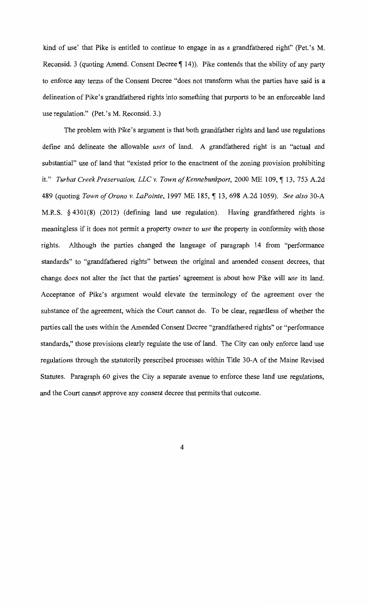kind of use' that Pike is entitled to continue to engage in as a grandfathered right" (Pet. 's M. Reconsid. 3 (quoting Amend. Consent Decree  $\P$  14)). Pike contends that the ability of any party to enforce any terms of the Consent Decree "does not transform what the parties have said is a delineation of Pike's grandfathered rights into something that purports to be an enforceable land use regulation." (Pet.'s M. Reconsid. 3.)

The problem with Pike's argument is that both grandfather rights and land use regulations define and delineate the allowable *uses* of land. A grandfathered right is an "actual and substantial" use of land that "existed prior to the enactment of the zoning provision prohibiting it." *Turbat Creek Preservation, LLC v. Town of Kennebunkport,* 2000 ME 109, ¶13, 753 A.2d 489 (quoting *Town of Orono v. LaPointe,* 1997 ME 185, ~ 13, 698 A.2d 1059). *See also* 30-A M.R.S. *§* 4301(8) (2012) (defining land use regulation). Having grandfathered rights is meaningless if it does not permit a property owner to *use* the property in conformity with those rights. Although the parties changed the language of paragraph 14 from "performance standards" to "grandfathered rights" between the original and amended consent decrees, that change does not alter the fact that the parties' agreement is about how Pike will *use* its land. Acceptance of Pike's argument would elevate the terminology of the agreement over the substance of the agreement, which the Court cannot do. To be clear, regardless of whether the parties call the uses within the Amended Consent Decree "grandfathered rights" or "performance standards," those provisions clearly regulate the use of land. The City can only enforce land use regulations through the statutorily prescribed processes within Title 30-A of the Maine Revised Statutes. Paragraph 60 gives the City a separate avenue to enforce these land use regulations, and the Court cannot approve any consent decree that permits that outcome.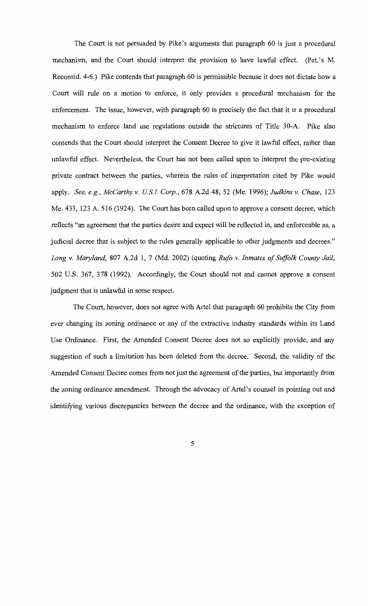The Court is not persuaded by Pike's arguments that paragraph 60 is just a procedural mechanism, and the Court should interpret the provision to have lawful effect. (Pet.'s M. Reconsid. 4-6.) Pike contends that paragraph 60 is permissible because it does not dictate how a Court will rule on a motion to enforce, it only provides a procedural mechanism for the enforcement. The issue, however, with paragraph 60 is precisely the fact that it *is* a procedural mechanism to enforce land use regulations outside the strictures of Title 30-A. Pike also contends that the Court should interpret the Consent Decree to give it lawful effect, rather than unlawful effect. Nevertheless, the Court has not been called upon to interpret the pre-existing private contract between the parties, wherein the rules of interpretation cited by Pike would apply. *See, e.g., McCarthy v. US.! Corp.,* 678 A.2d 48, 52 (Me. 1996); *Judkins v. Chase,* 123 Me. 433, 123 A. 516 (1924). The Court has been called upon to approve a consent decree, which reflects "an agreement that the parties desire and expect will be reflected in, and enforceable as, a judicial decree that is subject to the rules generally applicable to other judgments and decrees." *Long v. Maryland,* 807 A.2d 1, 7 (Md. 2002) (quoting *Rufo v. Inmates of Suffolk County Jail,*  502 U.S. 367, 378 (1992). Accordingly, the Court should not and cannot approve a consent judgment that is unlawful in some respect.

The Court, however, does not agree with Artel that paragraph 60 prohibits the City from ever changing its zoning ordinance or any of the extractive industry standards within its Land Use Ordinance. First, the Amended Consent Decree does not so explicitly provide, and any suggestion of such a limitation has been deleted from the decree. Second, the validity of the Amended Consent Decree comes from not just the agreement of the parties, but importantly from the zoning ordinance amendment. Through the advocacy of Artel's counsel in pointing out and identifying various discrepancies between the decree and the ordinance, with the exception of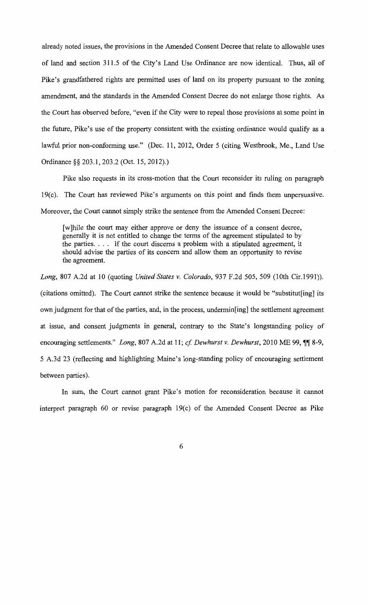already noted issues, the provisions in the Amended Consent Decree that relate to allowable uses of land and section 311.5 of the City's Land Use Ordinance are now identical. Thus, all of Pike's grandfathered rights are permitted uses of land on its property pursuant to the zoning amendment, and the standards in the Amended Consent Decree do not enlarge those rights. As the Court has observed before, "even if the City were to repeal those provisions at some point in the future, Pike's use of the property consistent with the existing ordinance would qualify as a lawful prior non-conforming use." (Dec. 11, 2012, Order 5 (citing Westbrook, Me., Land Use Ordinance§§ 203.1, 203.2 (Oct. 15, 2012).)

Pike also requests in its cross-motion that the Court reconsider its ruling on paragraph 19(c). The Court has reviewed Pike's arguments on this point and finds them unpersuasive. Moreover, the Court cannot simply strike the sentence from the Amended Consent Decree:

[w] hile the court may either approve or deny the issuance of a consent decree, generally it is not entitled to change the terms of the agreement stipulated to by the parties. . . . If the court discerns a problem with a stipulated agreement, it should advise the parties of its concern and allow them an opportunity to revise the agreement.

*Long,* 807 A.2d at 10 (quoting *United States v. Colorado,* 937 F.2d 505, 509 (lOth Cir.1991)). (citations omitted). The Court cannot strike the sentence because it would be "substitut[ing] its own judgment for that of the parties, and, in the process, undermin[ing] the settlement agreement at issue, and consent judgments in general, contrary to the State's longstanding policy of encouraging settlements." *Long*, 807 A.2d at 11; *cf. Dewhurst v. Dewhurst*, 2010 ME 99,  $\P$  8-9, 5 A.3d 23 (reflecting and highlighting Maine's long-standing policy of encouraging settlement between parties).

In sum, the Court cannot grant Pike's motion for reconsideration because it cannot interpret paragraph 60 or revise paragraph  $19(c)$  of the Amended Consent Decree as Pike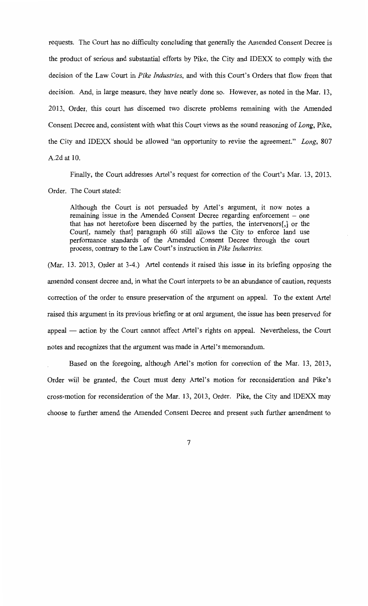requests. The Court has no difficulty concluding that generally the Amended Consent Decree is the product of serious and substantial efforts by Pike, the City and IDEXX to comply with the decision of the Law Court in *Pike Industries,* and with this Court's Orders that flow from that decision. And, in large measure, they have nearly done so. However, as noted in the Mar. 13, 2013, Order, this court has discerned two discrete problems remaining with the Amended Consent Decree and, consistent with what this Court views as the sound reasoning of *Long,* Pike, the City and IDEXX should be allowed "an opportunity to revise the agreement." *Long,* 807 A.2d at 10.

Finally, the Court addresses Artel's request for correction of the Court's Mar. 13, 2013,

Order. The Court stated:

Although the Court is not persuaded by Artel's argument, it now notes a remaining issue in the Amended Consent Decree regarding enforcement – one that has not heretofore been discerned by the parties, the intervenors[,] or the Court[, namely that] paragraph 60 still allows the City to enforce land use performance standards of the Amended Consent Decree through the court process, contrary to the Law Court's instruction in *Pike Industries.* 

(Mar. 13. 2013, Order at 3-4.) Artel contends it raised this issue in its briefing opposing the amended consent decree and, in what the Court interprets to be an abundance of caution, requests correction of the order to ensure preservation of the argument on appeal. To the extent Artel raised this argument in its previous briefing or at oral argument, the issue has been preserved for appeal  $-$  action by the Court cannot affect Artel's rights on appeal. Nevertheless, the Court notes and recognizes that the argument was made in Artel's memorandum.

Based on the foregoing, although Artel's motion for correction of the Mar. 13, 2013, Order will be granted, the Court must deny Artel's motion for reconsideration and Pike's cross-motion for reconsideration of the Mar. 13, 2013, Order. Pike, the City and IDEXX may choose to further amend the Amended Consent Decree and present such further amendment to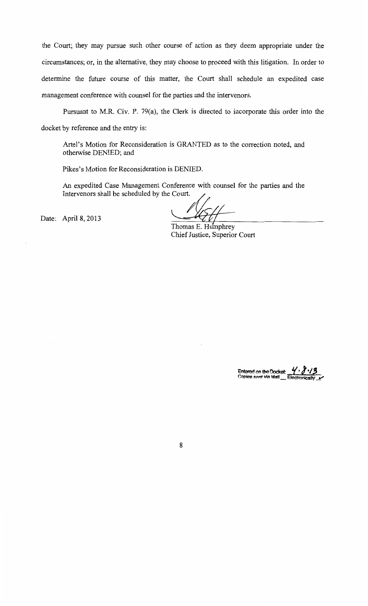the Court; they may pursue such other course of action as they deem appropriate under the circumstances; or, in the alternative, they may choose to proceed with this litigation. In order to determine the future course of this matter, the Court shall schedule an expedited case management conference with counsel for the parties and the intervenors.

Pursuant to M.R. Civ. P. 79(a), the Clerk is directed to incorporate this order into the docket by reference and the entry is:

Artel's Motion for Reconsideration is GRANTED as to the correction noted, and otherwise DENIED; and

Pikes's Motion for Reconsideration is DENIED.

An expedited Case Management Conference with counsel for the parties and the Intervenors shall be scheduled by the Court.

Date: April 8, 2013

April 8, 2013

Thomas E. Humphrey Chief Justice, Superior Court

Entered on the Docket: Copies sent via Mall